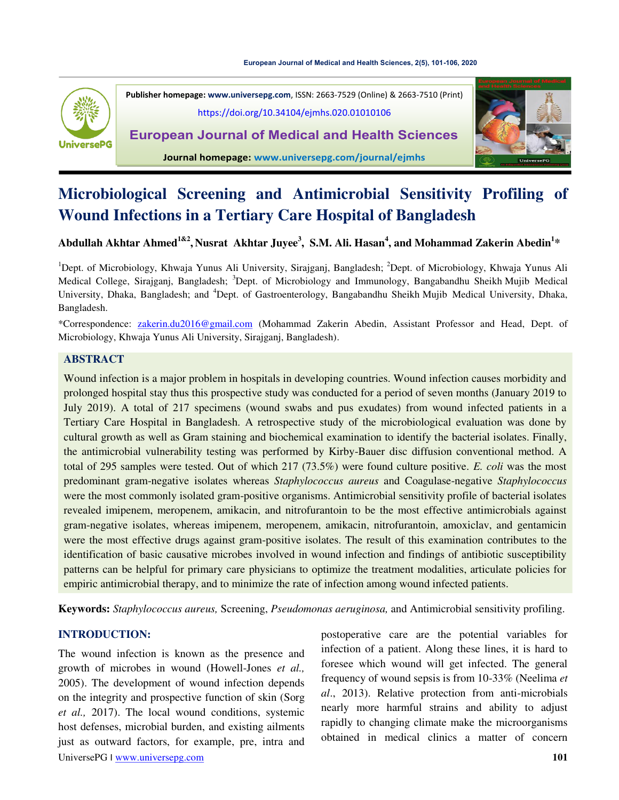#### **[European Journal of Medical and Health Sciences, 2\(5\), 101-106, 2020](https://doi.org/10.34104/ejmhs.020.01010106)**



**Publisher homepage[: www.universepg.com](http://www.universepg.com/)**, ISSN: 2663-7529 (Online) & 2663-7510 (Print) <https://doi.org/10.34104/ejmhs.020.01010106>

**European Journal of Medical and Health Sciences**

**Journal homepage: [www.universepg.com/journal/ejmhs](http://www.universepg.com/journal/ejmhs)**



# **Microbiological Screening and Antimicrobial Sensitivity Profiling of Wound Infections in a Tertiary Care Hospital of Bangladesh**

**Abdullah Akhtar Ahmed1&2 , Nusrat Akhtar Juyee<sup>3</sup> , S.M. Ali. Hasan<sup>4</sup> , and Mohammad Zakerin Abedin<sup>1</sup> \*** 

<sup>1</sup>Dept. of Microbiology, Khwaja Yunus Ali University, Sirajganj, Bangladesh; <sup>2</sup>Dept. of Microbiology, Khwaja Yunus Ali Medical College, Sirajganj, Bangladesh; <sup>3</sup>Dept. of Microbiology and Immunology, Bangabandhu Sheikh Mujib Medical University, Dhaka, Bangladesh; and <sup>4</sup>Dept. of Gastroenterology, Bangabandhu Sheikh Mujib Medical University, Dhaka, Bangladesh.

\*Correspondence: [zakerin.du2016@gmail.com](mailto:zakerin.du2016@gmail.com) (Mohammad Zakerin Abedin, Assistant Professor and Head, Dept. of Microbiology, Khwaja Yunus Ali University, Sirajganj, Bangladesh).

### **ABSTRACT**

Wound infection is a major problem in hospitals in developing countries. Wound infection causes morbidity and prolonged hospital stay thus this prospective study was conducted for a period of seven months (January 2019 to July 2019). A total of 217 specimens (wound swabs and pus exudates) from wound infected patients in a Tertiary Care Hospital in Bangladesh. A retrospective study of the microbiological evaluation was done by cultural growth as well as Gram staining and biochemical examination to identify the bacterial isolates. Finally, the antimicrobial vulnerability testing was performed by Kirby-Bauer disc diffusion conventional method. A total of 295 samples were tested. Out of which 217 (73.5%) were found culture positive. *E. coli* was the most predominant gram-negative isolates whereas *Staphylococcus aureus* and Coagulase-negative *Staphylococcus* were the most commonly isolated gram-positive organisms. Antimicrobial sensitivity profile of bacterial isolates revealed imipenem, meropenem, amikacin, and nitrofurantoin to be the most effective antimicrobials against gram-negative isolates, whereas imipenem, meropenem, amikacin, nitrofurantoin, amoxiclav, and gentamicin were the most effective drugs against gram-positive isolates. The result of this examination contributes to the identification of basic causative microbes involved in wound infection and findings of antibiotic susceptibility patterns can be helpful for primary care physicians to optimize the treatment modalities, articulate policies for empiric antimicrobial therapy, and to minimize the rate of infection among wound infected patients.

**Keywords:** *Staphylococcus aureus,* Screening, *Pseudomonas aeruginosa,* and Antimicrobial sensitivity profiling.

### **INTRODUCTION:**

UniversePG I [www.universepg.com](http://www.universepg.com/) **101** The wound infection is known as the presence and growth of microbes in wound (Howell-Jones *et al.,* 2005). The development of wound infection depends on the integrity and prospective function of skin (Sorg *et al.,* 2017). The local wound conditions, systemic host defenses, microbial burden, and existing ailments just as outward factors, for example, pre, intra and

postoperative care are the potential variables for infection of a patient. Along these lines, it is hard to foresee which wound will get infected. The general frequency of wound sepsis is from 10-33% (Neelima *et al*., 2013). Relative protection from anti-microbials nearly more harmful strains and ability to adjust rapidly to changing climate make the microorganisms obtained in medical clinics a matter of concern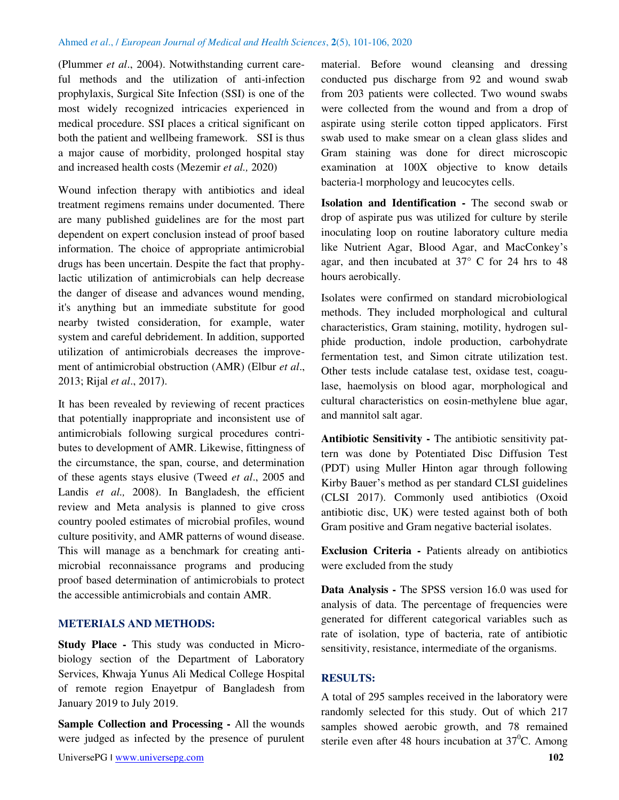(Plummer *et al*., 2004). Notwithstanding current careful methods and the utilization of anti-infection prophylaxis, Surgical Site Infection (SSI) is one of the most widely recognized intricacies experienced in medical procedure. SSI places a critical significant on both the patient and wellbeing framework. SSI is thus a major cause of morbidity, prolonged hospital stay and increased health costs (Mezemir *et al.,* 2020)

Wound infection therapy with antibiotics and ideal treatment regimens remains under documented. There are many published guidelines are for the most part dependent on expert conclusion instead of proof based information. The choice of appropriate antimicrobial drugs has been uncertain. Despite the fact that prophylactic utilization of antimicrobials can help decrease the danger of disease and advances wound mending, it's anything but an immediate substitute for good nearby twisted consideration, for example, water system and careful debridement. In addition, supported utilization of antimicrobials decreases the improvement of antimicrobial obstruction (AMR) (Elbur *et al*., 2013; Rijal *et al*., 2017).

It has been revealed by reviewing of recent practices that potentially inappropriate and inconsistent use of antimicrobials following surgical procedures contributes to development of AMR. Likewise, fittingness of the circumstance, the span, course, and determination of these agents stays elusive (Tweed *et al*., 2005 and Landis *et al.*, 2008). In Bangladesh, the efficient review and Meta analysis is planned to give cross country pooled estimates of microbial profiles, wound culture positivity, and AMR patterns of wound disease. This will manage as a benchmark for creating antimicrobial reconnaissance programs and producing proof based determination of antimicrobials to protect the accessible antimicrobials and contain AMR.

#### **METERIALS AND METHODS:**

**Study Place -** This study was conducted in Microbiology section of the Department of Laboratory Services, Khwaja Yunus Ali Medical College Hospital of remote region Enayetpur of Bangladesh from January 2019 to July 2019.

**Sample Collection and Processing -** All the wounds were judged as infected by the presence of purulent material. Before wound cleansing and dressing conducted pus discharge from 92 and wound swab from 203 patients were collected. Two wound swabs were collected from the wound and from a drop of aspirate using sterile cotton tipped applicators. First swab used to make smear on a clean glass slides and Gram staining was done for direct microscopic examination at 100X objective to know details bacteria-l morphology and leucocytes cells.

**Isolation and Identification -** The second swab or drop of aspirate pus was utilized for culture by sterile inoculating loop on routine laboratory culture media like Nutrient Agar, Blood Agar, and MacConkey's agar, and then incubated at 37° C for 24 hrs to 48 hours aerobically.

Isolates were confirmed on standard microbiological methods. They included morphological and cultural characteristics, Gram staining, motility, hydrogen sulphide production, indole production, carbohydrate fermentation test, and Simon citrate utilization test. Other tests include catalase test, oxidase test, coagulase, haemolysis on blood agar, morphological and cultural characteristics on eosin-methylene blue agar, and mannitol salt agar.

**Antibiotic Sensitivity -** The antibiotic sensitivity pattern was done by Potentiated Disc Diffusion Test (PDT) using Muller Hinton agar through following Kirby Bauer's method as per standard CLSI guidelines (CLSI 2017). Commonly used antibiotics (Oxoid antibiotic disc, UK) were tested against both of both Gram positive and Gram negative bacterial isolates.

**Exclusion Criteria -** Patients already on antibiotics were excluded from the study

**Data Analysis -** The SPSS version 16.0 was used for analysis of data. The percentage of frequencies were generated for different categorical variables such as rate of isolation, type of bacteria, rate of antibiotic sensitivity, resistance, intermediate of the organisms.

### **RESULTS:**

A total of 295 samples received in the laboratory were randomly selected for this study. Out of which 217 samples showed aerobic growth, and 78 remained sterile even after 48 hours incubation at  $37^{\circ}$ C. Among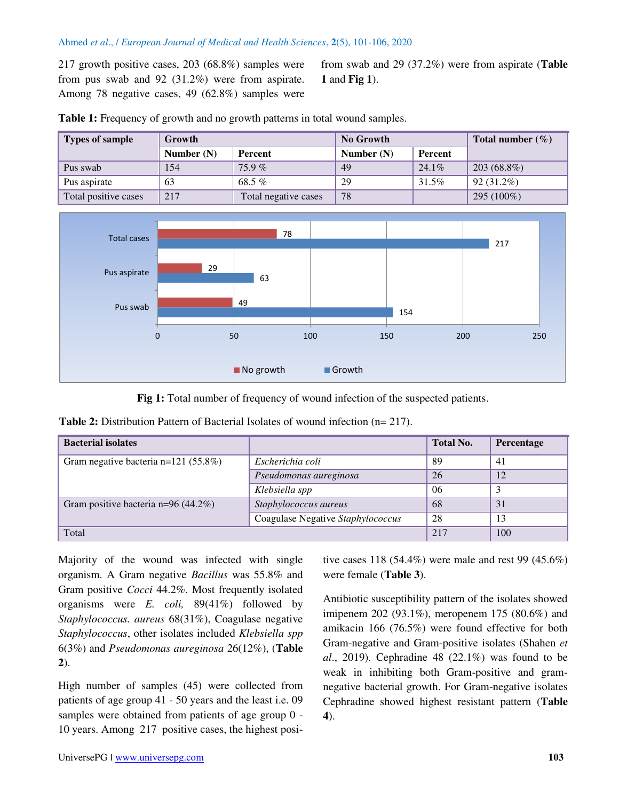#### Ahmed *et al*., / *European Journal of Medical and Health Sciences*, **2**(5), 101-106, 2020

217 growth positive cases, 203 (68.8%) samples were from pus swab and 92 (31.2%) were from aspirate. Among 78 negative cases, 49 (62.8%) samples were from swab and 29 (37.2%) were from aspirate (**Table 1** and **Fig 1**).

| Growth       |                      | No Growth    |          | Total number $(\% )$ |  |
|--------------|----------------------|--------------|----------|----------------------|--|
| Number $(N)$ | <b>Percent</b>       | Number $(N)$ | Percent  |                      |  |
| 154          | $75.9\%$             | 49           | $24.1\%$ | 203 (68.8%)          |  |
| 63           | 68.5 $%$             | 29           | 31.5%    | 92(31.2%)            |  |
| 217          | Total negative cases | 78           |          | 295 (100%)           |  |
|              |                      |              |          |                      |  |

**Table 1:** Frequency of growth and no growth patterns in total wound samples.



**Fig 1:** Total number of frequency of wound infection of the suspected patients.

**Table 2:** Distribution Pattern of Bacterial Isolates of wound infection (n= 217).

| <b>Bacterial isolates</b>                                  |                                   | <b>Total No.</b> | Percentage |
|------------------------------------------------------------|-----------------------------------|------------------|------------|
| Gram negative bacteria $n=121$ (55.8%)<br>Escherichia coli |                                   | 89               | -41        |
|                                                            | Pseudomonas aureginosa            | 26               | 12         |
|                                                            | Klebsiella spp                    | 06               |            |
| Gram positive bacteria n=96 $(44.2\%)$                     | Staphylococcus aureus             | 68               | 31         |
|                                                            | Coagulase Negative Staphylococcus | 28               | 13         |
| Total                                                      |                                   | 217              | 100        |

Majority of the wound was infected with single organism. A Gram negative *Bacillus* was 55.8% and Gram positive *Cocci* 44.2%. Most frequently isolated organisms were *E. coli,* 89(41%) followed by *Staphylococcus. aureus* 68(31%), Coagulase negative *Staphylococcus*, other isolates included *Klebsiella spp*  6(3%) and *Pseudomonas aureginosa* 26(12%), (**Table 2**).

High number of samples (45) were collected from patients of age group 41 - 50 years and the least i.e. 09 samples were obtained from patients of age group 0 - 10 years. Among 217 positive cases, the highest positive cases 118 (54.4%) were male and rest 99 (45.6%) were female (**Table 3**).

Antibiotic susceptibility pattern of the isolates showed imipenem 202 (93.1%), meropenem 175 (80.6%) and amikacin 166 (76.5%) were found effective for both Gram-negative and Gram-positive isolates (Shahen *et al*., 2019). Cephradine 48 (22.1%) was found to be weak in inhibiting both Gram-positive and gramnegative bacterial growth. For Gram-negative isolates Cephradine showed highest resistant pattern (**Table 4**).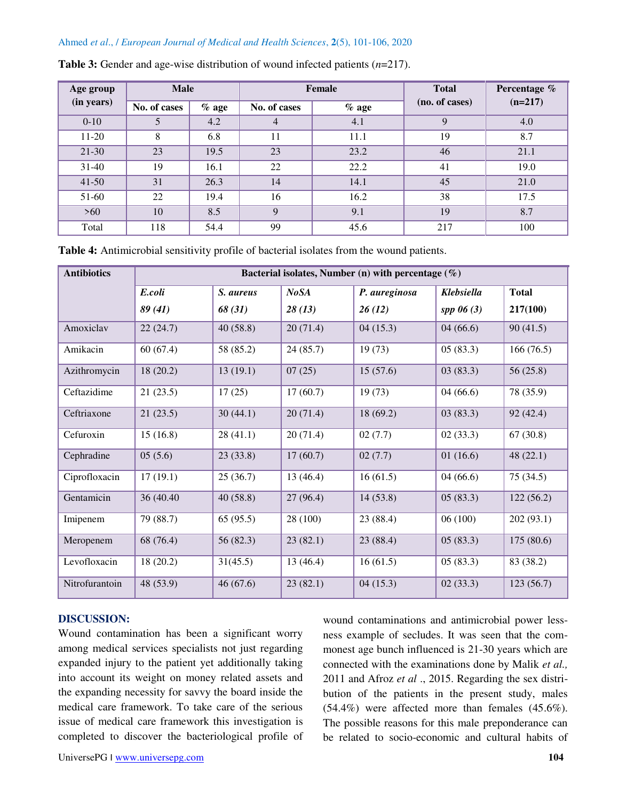#### Ahmed *et al*., / *European Journal of Medical and Health Sciences*, **2**(5), 101-106, 2020

| Age group  | <b>Male</b>  |         |              | Female  | <b>Total</b>   | Percentage % |  |
|------------|--------------|---------|--------------|---------|----------------|--------------|--|
| (in years) | No. of cases | $%$ age | No. of cases | $%$ age | (no. of cases) | $(n=217)$    |  |
| $0-10$     |              | 4.2     | 4            | 4.1     | 9              | 4.0          |  |
| $11-20$    | 8            | 6.8     | 11           | 11.1    | 19             | 8.7          |  |
| $21-30$    | 23           | 19.5    | 23           | 23.2    | 46             | 21.1         |  |
| $31-40$    | 19           | 16.1    | 22           | 22.2    | 41             | 19.0         |  |
| $41 - 50$  | 31           | 26.3    | 14           | 14.1    | 45             | 21.0         |  |
| 51-60      | 22           | 19.4    | 16           | 16.2    | 38             | 17.5         |  |
| $>60$      | 10           | 8.5     | 9            | 9.1     | 19             | 8.7          |  |
| Total      | 118          | 54.4    | 99           | 45.6    | 217            | 100          |  |

#### **Table 3:** Gender and age-wise distribution of wound infected patients (*n*=217).

**Table 4:** Antimicrobial sensitivity profile of bacterial isolates from the wound patients.

| <b>Antibiotics</b> | Bacterial isolates, Number (n) with percentage $(\%)$ |           |             |               |             |              |  |
|--------------------|-------------------------------------------------------|-----------|-------------|---------------|-------------|--------------|--|
|                    | E.coli                                                | S. aureus | <b>NoSA</b> | P. aureginosa | Klebsiella  | <b>Total</b> |  |
|                    | 89(41)                                                | 68 (31)   | 28(13)      | 26(12)        | spp $06(3)$ | 217(100)     |  |
| Amoxiclav          | 22(24.7)                                              | 40(58.8)  | 20(71.4)    | 04(15.3)      | 04(66.6)    | 90(41.5)     |  |
| Amikacin           | 60(67.4)                                              | 58 (85.2) | 24(85.7)    | 19(73)        | 05(83.3)    | 166(76.5)    |  |
| Azithromycin       | 18(20.2)                                              | 13(19.1)  | 07(25)      | 15(57.6)      | 03(83.3)    | 56(25.8)     |  |
| Ceftazidime        | 21(23.5)                                              | 17(25)    | 17(60.7)    | 19(73)        | 04(66.6)    | 78 (35.9)    |  |
| Ceftriaxone        | 21(23.5)                                              | 30(44.1)  | 20(71.4)    | 18 (69.2)     | 03(83.3)    | 92(42.4)     |  |
| Cefuroxin          | 15(16.8)                                              | 28(41.1)  | 20(71.4)    | 02(7.7)       | 02(33.3)    | 67(30.8)     |  |
| Cephradine         | 05(5.6)                                               | 23(33.8)  | 17(60.7)    | 02(7.7)       | 01(16.6)    | 48(22.1)     |  |
| Ciprofloxacin      | 17(19.1)                                              | 25(36.7)  | 13(46.4)    | 16(61.5)      | 04(66.6)    | 75(34.5)     |  |
| Gentamicin         | 36 (40.40)                                            | 40(58.8)  | 27(96.4)    | 14(53.8)      | 05(83.3)    | 122(56.2)    |  |
| Imipenem           | 79 (88.7)                                             | 65(95.5)  | 28 (100)    | 23 (88.4)     | 06(100)     | 202(93.1)    |  |
| Meropenem          | 68 (76.4)                                             | 56 (82.3) | 23(82.1)    | 23(88.4)      | 05(83.3)    | 175 (80.6)   |  |
| Levofloxacin       | 18(20.2)                                              | 31(45.5)  | 13(46.4)    | 16(61.5)      | 05(83.3)    | 83 (38.2)    |  |
| Nitrofurantoin     | 48 (53.9)                                             | 46(67.6)  | 23(82.1)    | 04(15.3)      | 02(33.3)    | 123(56.7)    |  |

## **DISCUSSION:**

Wound contamination has been a significant worry among medical services specialists not just regarding expanded injury to the patient yet additionally taking into account its weight on money related assets and the expanding necessity for savvy the board inside the medical care framework. To take care of the serious issue of medical care framework this investigation is completed to discover the bacteriological profile of wound contaminations and antimicrobial power lessness example of secludes. It was seen that the commonest age bunch influenced is 21-30 years which are connected with the examinations done by Malik *et al.,* 2011 and Afroz *et al* ., 2015. Regarding the sex distribution of the patients in the present study, males (54.4%) were affected more than females (45.6%). The possible reasons for this male preponderance can be related to socio-economic and cultural habits of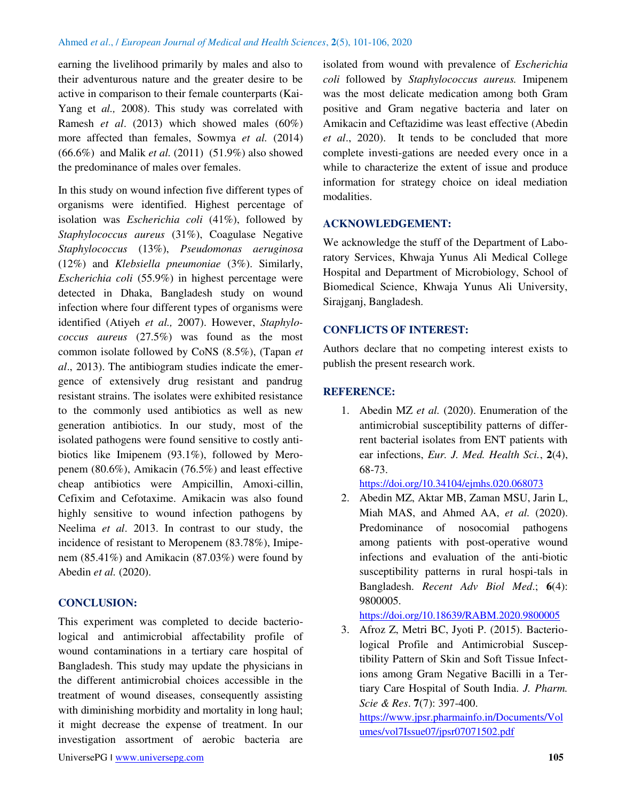earning the livelihood primarily by males and also to their adventurous nature and the greater desire to be active in comparison to their female counterparts (Kai-Yang et *al.,* 2008). This study was correlated with Ramesh *et al*. (2013) which showed males (60%) more affected than females, Sowmya *et al.* (2014) (66.6%) and Malik *et al.* (2011)(51.9%) also showed the predominance of males over females.

In this study on wound infection five different types of organisms were identified. Highest percentage of isolation was *Escherichia coli* (41%), followed by *Staphylococcus aureus* (31%), Coagulase Negative *Staphylococcus* (13%), *Pseudomonas aeruginosa*  (12%) and *Klebsiella pneumoniae* (3%). Similarly, *Escherichia coli* (55.9%) in highest percentage were detected in Dhaka, Bangladesh study on wound infection where four different types of organisms were identified (Atiyeh *et al.,* 2007). However, *Staphylococcus aureus* (27.5%) was found as the most common isolate followed by CoNS (8.5%), (Tapan *et al*., 2013). The antibiogram studies indicate the emergence of extensively drug resistant and pandrug resistant strains. The isolates were exhibited resistance to the commonly used antibiotics as well as new generation antibiotics. In our study, most of the isolated pathogens were found sensitive to costly antibiotics like Imipenem (93.1%), followed by Meropenem (80.6%), Amikacin (76.5%) and least effective cheap antibiotics were Ampicillin, Amoxi-cillin, Cefixim and Cefotaxime. Amikacin was also found highly sensitive to wound infection pathogens by Neelima *et al*. 2013. In contrast to our study, the incidence of resistant to Meropenem (83.78%), Imipenem (85.41%) and Amikacin (87.03%) were found by Abedin *et al.* (2020).

## **CONCLUSION:**

This experiment was completed to decide bacteriological and antimicrobial affectability profile of wound contaminations in a tertiary care hospital of Bangladesh. This study may update the physicians in the different antimicrobial choices accessible in the treatment of wound diseases, consequently assisting with diminishing morbidity and mortality in long haul; it might decrease the expense of treatment. In our investigation assortment of aerobic bacteria are

*coli* followed by *Staphylococcus aureus.* Imipenem was the most delicate medication among both Gram positive and Gram negative bacteria and later on Amikacin and Ceftazidime was least effective (Abedin *et al*., 2020). It tends to be concluded that more complete investi-gations are needed every once in a while to characterize the extent of issue and produce information for strategy choice on ideal mediation modalities.

isolated from wound with prevalence of *Escherichia* 

## **ACKNOWLEDGEMENT:**

We acknowledge the stuff of the Department of Laboratory Services, Khwaja Yunus Ali Medical College Hospital and Department of Microbiology, School of Biomedical Science, Khwaja Yunus Ali University, Sirajganj, Bangladesh.

## **CONFLICTS OF INTEREST:**

Authors declare that no competing interest exists to publish the present research work.

## **REFERENCE:**

1. Abedin MZ *et al.* (2020). Enumeration of the antimicrobial susceptibility patterns of differrent bacterial isolates from ENT patients with ear infections, *Eur. J. Med. Health Sci.*, **2**(4), 68-73.

<https://doi.org/10.34104/ejmhs.020.068073>

2. Abedin MZ, Aktar MB, Zaman MSU, Jarin L, Miah MAS, and Ahmed AA, *et al.* (2020). Predominance of nosocomial pathogens among patients with post-operative wound infections and evaluation of the anti-biotic susceptibility patterns in rural hospi-tals in Bangladesh. *Recent Adv Biol Med*.; **6**(4): 9800005.

<https://doi.org/10.18639/RABM.2020.9800005>

3. Afroz Z, Metri BC, Jyoti P. (2015). Bacteriological Profile and Antimicrobial Susceptibility Pattern of Skin and Soft Tissue Infections among Gram Negative Bacilli in a Tertiary Care Hospital of South India. *J. Pharm. Scie & Res*. **7**(7): 397-400.

[https://www.jpsr.pharmainfo.in/Documents/Vol](https://www.jpsr.pharmainfo.in/Documents/Volumes/vol7Issue07/jpsr07071502.pdf) [umes/vol7Issue07/jpsr07071502.pdf](https://www.jpsr.pharmainfo.in/Documents/Volumes/vol7Issue07/jpsr07071502.pdf)